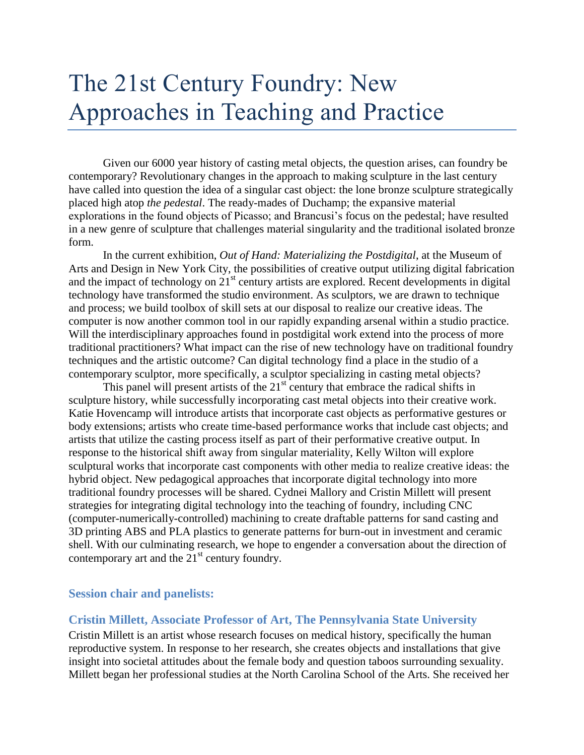# The 21st Century Foundry: New Approaches in Teaching and Practice

Given our 6000 year history of casting metal objects, the question arises, can foundry be contemporary? Revolutionary changes in the approach to making sculpture in the last century have called into question the idea of a singular cast object: the lone bronze sculpture strategically placed high atop *the pedestal*. The ready-mades of Duchamp; the expansive material explorations in the found objects of Picasso; and Brancusi's focus on the pedestal; have resulted in a new genre of sculpture that challenges material singularity and the traditional isolated bronze form.

In the current exhibition, *Out of Hand: Materializing the Postdigital*, at the Museum of Arts and Design in New York City, the possibilities of creative output utilizing digital fabrication and the impact of technology on  $21<sup>st</sup>$  century artists are explored. Recent developments in digital technology have transformed the studio environment. As sculptors, we are drawn to technique and process; we build toolbox of skill sets at our disposal to realize our creative ideas. The computer is now another common tool in our rapidly expanding arsenal within a studio practice. Will the interdisciplinary approaches found in postdigital work extend into the process of more traditional practitioners? What impact can the rise of new technology have on traditional foundry techniques and the artistic outcome? Can digital technology find a place in the studio of a contemporary sculptor, more specifically, a sculptor specializing in casting metal objects?

This panel will present artists of the  $21<sup>st</sup>$  century that embrace the radical shifts in sculpture history, while successfully incorporating cast metal objects into their creative work. Katie Hovencamp will introduce artists that incorporate cast objects as performative gestures or body extensions; artists who create time-based performance works that include cast objects; and artists that utilize the casting process itself as part of their performative creative output. In response to the historical shift away from singular materiality, Kelly Wilton will explore sculptural works that incorporate cast components with other media to realize creative ideas: the hybrid object. New pedagogical approaches that incorporate digital technology into more traditional foundry processes will be shared. Cydnei Mallory and Cristin Millett will present strategies for integrating digital technology into the teaching of foundry, including CNC (computer-numerically-controlled) machining to create draftable patterns for sand casting and 3D printing ABS and PLA plastics to generate patterns for burn-out in investment and ceramic shell. With our culminating research, we hope to engender a conversation about the direction of contemporary art and the  $21<sup>st</sup>$  century foundry.

#### **Session chair and panelists:**

#### **Cristin Millett, Associate Professor of Art, The Pennsylvania State University**

Cristin Millett is an artist whose research focuses on medical history, specifically the human reproductive system. In response to her research, she creates objects and installations that give insight into societal attitudes about the female body and question taboos surrounding sexuality. Millett began her professional studies at the North Carolina School of the Arts. She received her